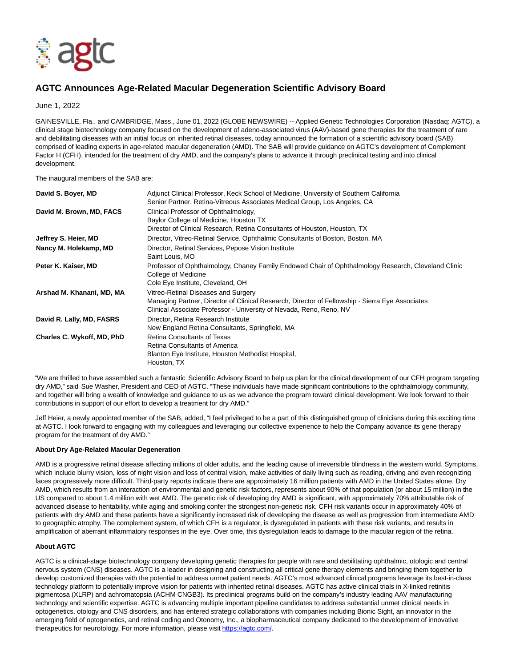

# **AGTC Announces Age-Related Macular Degeneration Scientific Advisory Board**

June 1, 2022

GAINESVILLE, Fla., and CAMBRIDGE, Mass., June 01, 2022 (GLOBE NEWSWIRE) -- Applied Genetic Technologies Corporation (Nasdaq: AGTC), a clinical stage biotechnology company focused on the development of adeno-associated virus (AAV)-based gene therapies for the treatment of rare and debilitating diseases with an initial focus on inherited retinal diseases, today announced the formation of a scientific advisory board (SAB) comprised of leading experts in age-related macular degeneration (AMD). The SAB will provide guidance on AGTC's development of Complement Factor H (CFH), intended for the treatment of dry AMD, and the company's plans to advance it through preclinical testing and into clinical development.

The inaugural members of the SAB are:

| David S. Boyer, MD         | Adjunct Clinical Professor, Keck School of Medicine, University of Southern California              |
|----------------------------|-----------------------------------------------------------------------------------------------------|
|                            | Senior Partner, Retina-Vitreous Associates Medical Group, Los Angeles, CA                           |
| David M. Brown, MD, FACS   | Clinical Professor of Ophthalmology,                                                                |
|                            | Baylor College of Medicine, Houston TX                                                              |
|                            | Director of Clinical Research, Retina Consultants of Houston, Houston, TX                           |
| Jeffrey S. Heier, MD       | Director, Vitreo-Retinal Service, Ophthalmic Consultants of Boston, Boston, MA                      |
| Nancy M. Holekamp, MD      | Director, Retinal Services, Pepose Vision Institute                                                 |
|                            | Saint Louis, MO                                                                                     |
| Peter K. Kaiser, MD        | Professor of Ophthalmology, Chaney Family Endowed Chair of Ophthalmology Research, Cleveland Clinic |
|                            | College of Medicine                                                                                 |
|                            | Cole Eye Institute, Cleveland, OH                                                                   |
| Arshad M. Khanani, MD, MA  | Vitreo-Retinal Diseases and Surgery                                                                 |
|                            | Managing Partner, Director of Clinical Research, Director of Fellowship - Sierra Eye Associates     |
|                            | Clinical Associate Professor - University of Nevada, Reno, Reno, NV                                 |
| David R. Lally, MD, FASRS  | Director, Retina Research Institute                                                                 |
|                            | New England Retina Consultants, Springfield, MA                                                     |
| Charles C. Wykoff, MD, PhD | Retina Consultants of Texas                                                                         |
|                            | Retina Consultants of America                                                                       |
|                            | Blanton Eye Institute, Houston Methodist Hospital,                                                  |
|                            | Houston, TX                                                                                         |

"We are thrilled to have assembled such a fantastic Scientific Advisory Board to help us plan for the clinical development of our CFH program targeting dry AMD," said Sue Washer, President and CEO of AGTC. "These individuals have made significant contributions to the ophthalmology community, and together will bring a wealth of knowledge and guidance to us as we advance the program toward clinical development. We look forward to their contributions in support of our effort to develop a treatment for dry AMD."

Jeff Heier, a newly appointed member of the SAB, added, "I feel privileged to be a part of this distinguished group of clinicians during this exciting time at AGTC. I look forward to engaging with my colleagues and leveraging our collective experience to help the Company advance its gene therapy program for the treatment of dry AMD."

# **About Dry Age-Related Macular Degeneration**

AMD is a progressive retinal disease affecting millions of older adults, and the leading cause of irreversible blindness in the western world. Symptoms, which include blurry vision, loss of night vision and loss of central vision, make activities of daily living such as reading, driving and even recognizing faces progressively more difficult. Third-party reports indicate there are approximately 16 million patients with AMD in the United States alone. Dry AMD, which results from an interaction of environmental and genetic risk factors, represents about 90% of that population (or about 15 million) in the US compared to about 1.4 million with wet AMD. The genetic risk of developing dry AMD is significant, with approximately 70% attributable risk of advanced disease to heritability, while aging and smoking confer the strongest non-genetic risk. CFH risk variants occur in approximately 40% of patients with dry AMD and these patients have a significantly increased risk of developing the disease as well as progression from intermediate AMD to geographic atrophy. The complement system, of which CFH is a regulator, is dysregulated in patients with these risk variants, and results in amplification of aberrant inflammatory responses in the eye. Over time, this dysregulation leads to damage to the macular region of the retina.

## **About AGTC**

AGTC is a clinical-stage biotechnology company developing genetic therapies for people with rare and debilitating ophthalmic, otologic and central nervous system (CNS) diseases. AGTC is a leader in designing and constructing all critical gene therapy elements and bringing them together to develop customized therapies with the potential to address unmet patient needs. AGTC's most advanced clinical programs leverage its best-in-class technology platform to potentially improve vision for patients with inherited retinal diseases. AGTC has active clinical trials in X-linked retinitis pigmentosa (XLRP) and achromatopsia (ACHM CNGB3). Its preclinical programs build on the company's industry leading AAV manufacturing technology and scientific expertise. AGTC is advancing multiple important pipeline candidates to address substantial unmet clinical needs in optogenetics, otology and CNS disorders, and has entered strategic collaborations with companies including Bionic Sight, an innovator in the emerging field of optogenetics, and retinal coding and Otonomy, Inc., a biopharmaceutical company dedicated to the development of innovative therapeutics for neurotology. For more information, please visit [https://agtc.com/.](https://www.globenewswire.com/Tracker?data=i2Z_jzKs7yq_d-WywAcY1cR9i4hU_6ZssH7m_cFDfqa_oj3x3s4azwgYvU0BEFu1ldqGbpmKqT8ynOqEt1BazQ==)